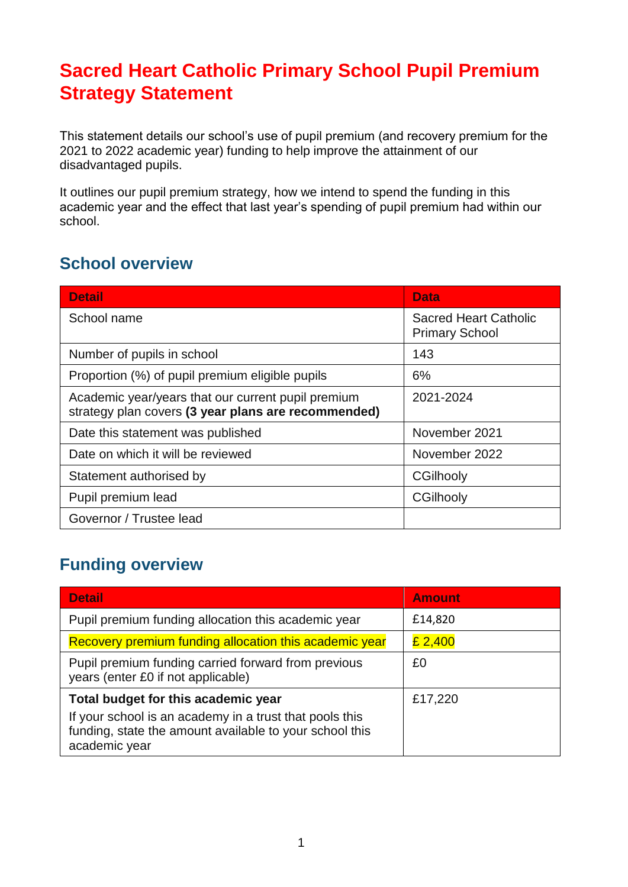# **Sacred Heart Catholic Primary School Pupil Premium Strategy Statement**

This statement details our school's use of pupil premium (and recovery premium for the 2021 to 2022 academic year) funding to help improve the attainment of our disadvantaged pupils.

It outlines our pupil premium strategy, how we intend to spend the funding in this academic year and the effect that last year's spending of pupil premium had within our school.

### **School overview**

| <b>Detail</b>                                                                                             | <b>Data</b>                                           |
|-----------------------------------------------------------------------------------------------------------|-------------------------------------------------------|
| School name                                                                                               | <b>Sacred Heart Catholic</b><br><b>Primary School</b> |
| Number of pupils in school                                                                                | 143                                                   |
| Proportion (%) of pupil premium eligible pupils                                                           | 6%                                                    |
| Academic year/years that our current pupil premium<br>strategy plan covers (3 year plans are recommended) | 2021-2024                                             |
| Date this statement was published                                                                         | November 2021                                         |
| Date on which it will be reviewed                                                                         | November 2022                                         |
| Statement authorised by                                                                                   | CGilhooly                                             |
| Pupil premium lead                                                                                        | CGilhooly                                             |
| Governor / Trustee lead                                                                                   |                                                       |

## **Funding overview**

| <b>Detail</b>                                                                                                                       | <b>Amount</b> |
|-------------------------------------------------------------------------------------------------------------------------------------|---------------|
| Pupil premium funding allocation this academic year                                                                                 | £14,820       |
| Recovery premium funding allocation this academic year                                                                              | £ 2,400       |
| Pupil premium funding carried forward from previous<br>years (enter £0 if not applicable)                                           | £0            |
| Total budget for this academic year                                                                                                 | £17,220       |
| If your school is an academy in a trust that pools this<br>funding, state the amount available to your school this<br>academic year |               |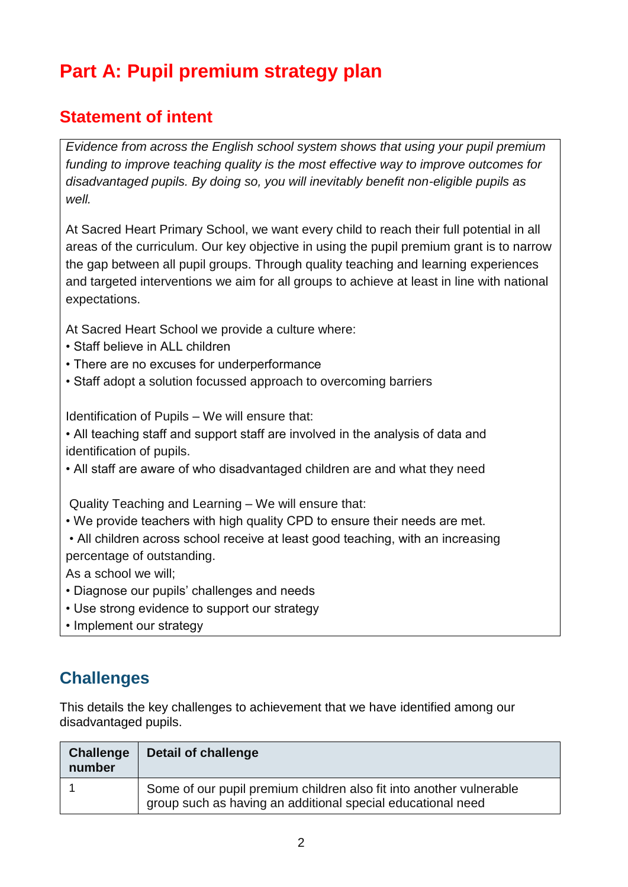# **Part A: Pupil premium strategy plan**

## **Statement of intent**

*Evidence from across the English school system shows that using your pupil premium funding to improve teaching quality is the most effective way to improve outcomes for disadvantaged pupils. By doing so, you will inevitably benefit non-eligible pupils as well.* 

At Sacred Heart Primary School, we want every child to reach their full potential in all areas of the curriculum. Our key objective in using the pupil premium grant is to narrow the gap between all pupil groups. Through quality teaching and learning experiences and targeted interventions we aim for all groups to achieve at least in line with national expectations.

At Sacred Heart School we provide a culture where:

- Staff believe in ALL children
- There are no excuses for underperformance
- Staff adopt a solution focussed approach to overcoming barriers

Identification of Pupils – We will ensure that:

• All teaching staff and support staff are involved in the analysis of data and identification of pupils.

• All staff are aware of who disadvantaged children are and what they need

Quality Teaching and Learning – We will ensure that:

• We provide teachers with high quality CPD to ensure their needs are met.

• All children across school receive at least good teaching, with an increasing percentage of outstanding.

As a school we will;

- Diagnose our pupils' challenges and needs
- Use strong evidence to support our strategy
- Implement our strategy

### **Challenges**

This details the key challenges to achievement that we have identified among our disadvantaged pupils.

| <b>Challenge</b><br>number | Detail of challenge                                                                                                                |
|----------------------------|------------------------------------------------------------------------------------------------------------------------------------|
|                            | Some of our pupil premium children also fit into another vulnerable<br>group such as having an additional special educational need |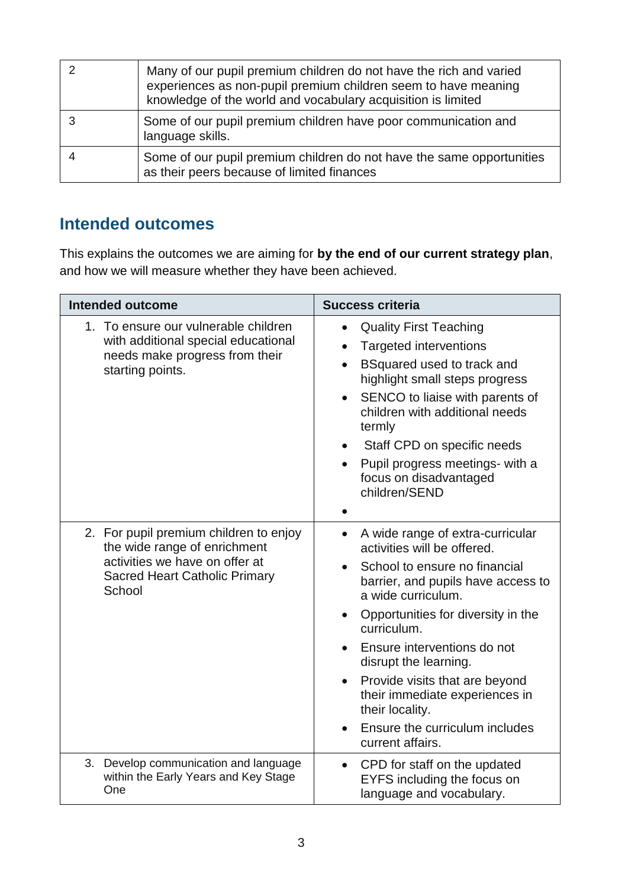| Many of our pupil premium children do not have the rich and varied<br>experiences as non-pupil premium children seem to have meaning<br>knowledge of the world and vocabulary acquisition is limited |
|------------------------------------------------------------------------------------------------------------------------------------------------------------------------------------------------------|
| Some of our pupil premium children have poor communication and<br>language skills.                                                                                                                   |
| Some of our pupil premium children do not have the same opportunities<br>as their peers because of limited finances                                                                                  |

#### **Intended outcomes**

This explains the outcomes we are aiming for **by the end of our current strategy plan**, and how we will measure whether they have been achieved.

| <b>Intended outcome</b>                                                                                                                                    | <b>Success criteria</b>                                                                                                                                                                                                                                                                                                                                                                                                                                       |  |
|------------------------------------------------------------------------------------------------------------------------------------------------------------|---------------------------------------------------------------------------------------------------------------------------------------------------------------------------------------------------------------------------------------------------------------------------------------------------------------------------------------------------------------------------------------------------------------------------------------------------------------|--|
| 1. To ensure our vulnerable children<br>with additional special educational<br>needs make progress from their<br>starting points.                          | <b>Quality First Teaching</b><br>$\bullet$<br><b>Targeted interventions</b><br>$\bullet$<br>BSquared used to track and<br>$\bullet$<br>highlight small steps progress<br>SENCO to liaise with parents of<br>$\bullet$<br>children with additional needs<br>termly<br>Staff CPD on specific needs<br>$\bullet$<br>Pupil progress meetings- with a<br>focus on disadvantaged<br>children/SEND                                                                   |  |
| 2. For pupil premium children to enjoy<br>the wide range of enrichment<br>activities we have on offer at<br><b>Sacred Heart Catholic Primary</b><br>School | A wide range of extra-curricular<br>$\bullet$<br>activities will be offered.<br>School to ensure no financial<br>barrier, and pupils have access to<br>a wide curriculum.<br>Opportunities for diversity in the<br>curriculum.<br>Ensure interventions do not<br>disrupt the learning.<br>Provide visits that are beyond<br>$\bullet$<br>their immediate experiences in<br>their locality.<br>Ensure the curriculum includes<br>$\bullet$<br>current affairs. |  |
| 3. Develop communication and language<br>within the Early Years and Key Stage<br>One                                                                       | CPD for staff on the updated<br>$\bullet$<br>EYFS including the focus on<br>language and vocabulary.                                                                                                                                                                                                                                                                                                                                                          |  |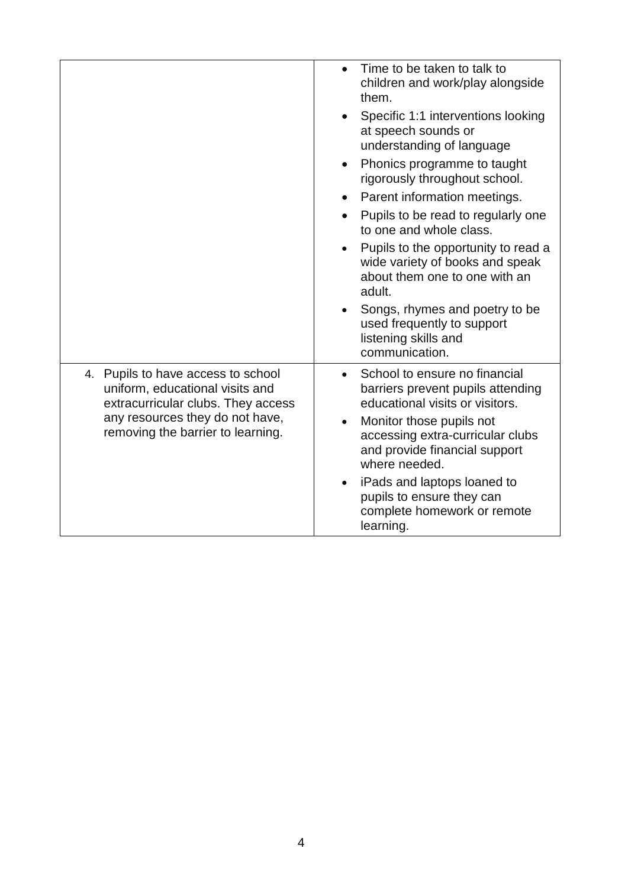|                                                                                                             | Time to be taken to talk to<br>children and work/play alongside<br>them.                                          |
|-------------------------------------------------------------------------------------------------------------|-------------------------------------------------------------------------------------------------------------------|
|                                                                                                             | Specific 1:1 interventions looking<br>at speech sounds or<br>understanding of language                            |
|                                                                                                             | Phonics programme to taught<br>$\bullet$<br>rigorously throughout school.                                         |
|                                                                                                             | Parent information meetings.                                                                                      |
|                                                                                                             | Pupils to be read to regularly one<br>to one and whole class.                                                     |
|                                                                                                             | Pupils to the opportunity to read a<br>wide variety of books and speak<br>about them one to one with an<br>adult. |
|                                                                                                             | Songs, rhymes and poetry to be<br>used frequently to support<br>listening skills and<br>communication.            |
| 4. Pupils to have access to school<br>uniform, educational visits and<br>extracurricular clubs. They access | School to ensure no financial<br>barriers prevent pupils attending<br>educational visits or visitors.             |
| any resources they do not have,<br>removing the barrier to learning.                                        | Monitor those pupils not<br>accessing extra-curricular clubs<br>and provide financial support<br>where needed.    |
|                                                                                                             | iPads and laptops loaned to<br>pupils to ensure they can<br>complete homework or remote<br>learning.              |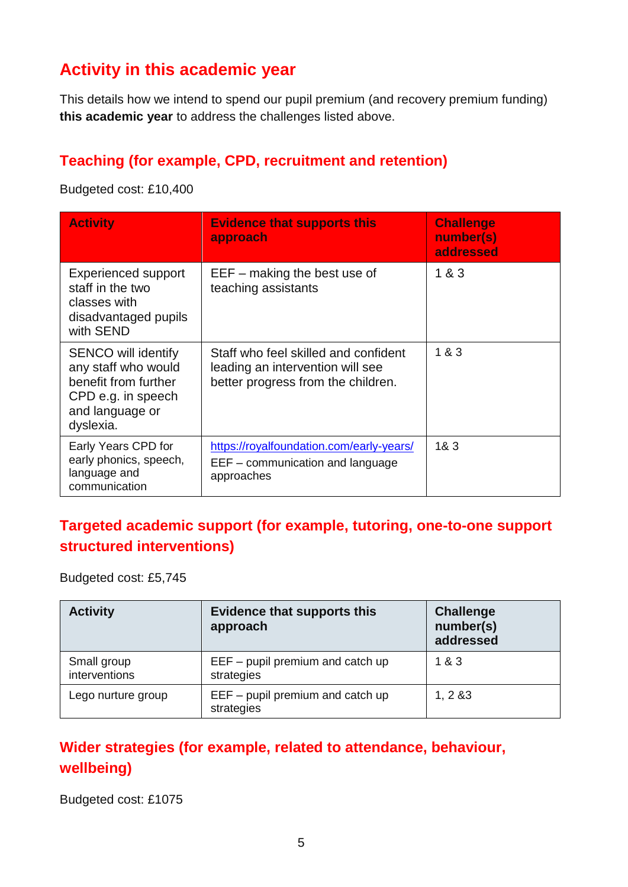## **Activity in this academic year**

This details how we intend to spend our pupil premium (and recovery premium funding) **this academic year** to address the challenges listed above.

#### **Teaching (for example, CPD, recruitment and retention)**

Budgeted cost: £10,400

| <b>Activity</b>                                                                                                                 | <b>Evidence that supports this</b><br>approach                                                                 | <b>Challenge</b><br>number(s)<br>addressed |
|---------------------------------------------------------------------------------------------------------------------------------|----------------------------------------------------------------------------------------------------------------|--------------------------------------------|
| <b>Experienced support</b><br>staff in the two<br>classes with<br>disadvantaged pupils<br>with SEND                             | $EEF - making the best use of$<br>teaching assistants                                                          | 1 & 3                                      |
| <b>SENCO will identify</b><br>any staff who would<br>benefit from further<br>CPD e.g. in speech<br>and language or<br>dyslexia. | Staff who feel skilled and confident<br>leading an intervention will see<br>better progress from the children. | 1 & 3                                      |
| Early Years CPD for<br>early phonics, speech,<br>language and<br>communication                                                  | https://royalfoundation.com/early-years/<br>EEF – communication and language<br>approaches                     | 183                                        |

#### **Targeted academic support (for example, tutoring, one-to-one support structured interventions)**

Budgeted cost: £5,745

| <b>Activity</b>              | <b>Evidence that supports this</b><br>approach   | <b>Challenge</b><br>number(s)<br>addressed |
|------------------------------|--------------------------------------------------|--------------------------------------------|
| Small group<br>interventions | $EEF -$ pupil premium and catch up<br>strategies | 1&3                                        |
| Lego nurture group           | $EEF -$ pupil premium and catch up<br>strategies | 1, 283                                     |

### **Wider strategies (for example, related to attendance, behaviour, wellbeing)**

Budgeted cost: £1075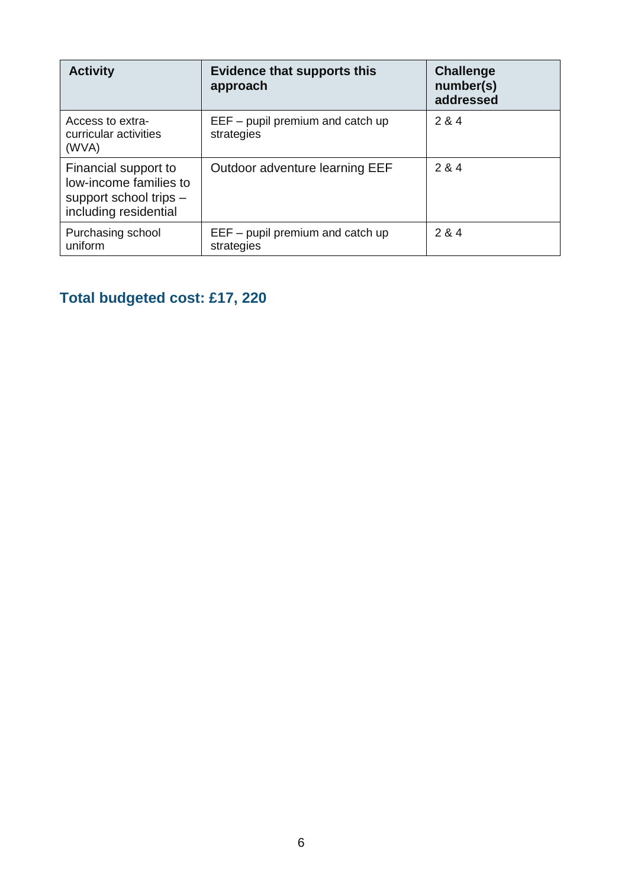| <b>Activity</b>                                                                                   | <b>Evidence that supports this</b><br>approach   | <b>Challenge</b><br>number(s)<br>addressed |
|---------------------------------------------------------------------------------------------------|--------------------------------------------------|--------------------------------------------|
| Access to extra-<br>curricular activities<br>(WVA)                                                | $EEF -$ pupil premium and catch up<br>strategies | 2 & 4                                      |
| Financial support to<br>low-income families to<br>support school trips -<br>including residential | Outdoor adventure learning EEF                   | 2 & 4                                      |
| Purchasing school<br>uniform                                                                      | $EEF -$ pupil premium and catch up<br>strategies | 2 & 4                                      |

# **Total budgeted cost: £17, 220**